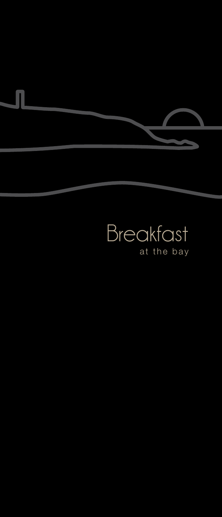

## Breakfast at the bay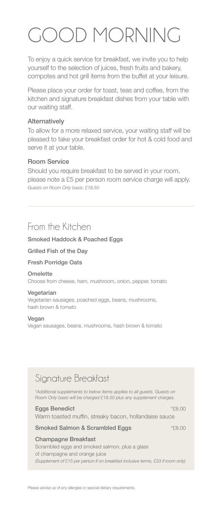# GOOD MORNING

To enjoy a quick service for breakfast, we invite you to help yourself to the selection of juices, fresh fruits and bakery, compotes and hot grill items from the buffet at your leisure.

Please place your order for toast, teas and coffee, from the kitchen and signature breakfast dishes from your table with our waiting staff.

### Alternatively

To allow for a more relaxed service, your waiting staff will be pleased to take your breakfast order for hot & cold food and serve it at your table.

### Room Service

Should you require breakfast to be served in your room, please note a £5 per person room service charge will apply. *Guests on Room Only basis: £18.50*

### From the Kitchen

### Smoked Haddock & Poached Eggs

Grilled Fish of the Day

### Fresh Porridge Oats

#### **Omelette**

Choose from cheese, ham, mushroom, onion, pepper, tomato

#### Vegetarian

Vegetarian sausages, poached eggs, beans, mushrooms, hash brown & tomato

#### Vegan

Vegan sausages, beans, mushrooms, hash brown & tomato

### Signature Breakfast

*\*Additional supplements to below items applies to all guests. Guests on Room Only basis will be charged £18.50 plus any supplement charges.*

#### Eggs Benedict \*£8.00

Warm toasted muffin, streaky bacon, hollandaise sauce

### Smoked Salmon & Scrambled Eggs \*£8.00

### Champagne Breakfast

Scrambled eggs and smoked salmon, plus a glass of champagne and orange juice *(Supplement of £15 per person if on breakfast inclusive terms, £33 if room only)*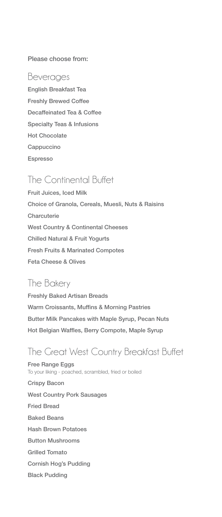### Please choose from:

### Beverages

English Breakfast Tea Freshly Brewed Coffee Decaffeinated Tea & Coffee Specialty Teas & Infusions Hot Chocolate **Cappuccino** Espresso

### The Continental Buffet

Fruit Juices, Iced Milk Choice of Granola, Cereals, Muesli, Nuts & Raisins **Charcuterie** West Country & Continental Cheeses Chilled Natural & Fruit Yogurts Fresh Fruits & Marinated Compotes Feta Cheese & Olives

### The Bakery

Freshly Baked Artisan Breads Warm Croissants, Muffins & Morning Pastries Butter Milk Pancakes with Maple Syrup, Pecan Nuts Hot Belgian Waffles, Berry Compote, Maple Syrup

### The Great West Country Breakfast Buffet

Free Range Eggs To your liking - poached, scrambled, fried or boiled Crispy Bacon West Country Pork Sausages Fried Bread Baked Beans Hash Brown Potatoes Button Mushrooms Grilled Tomato Cornish Hog's Pudding Black Pudding